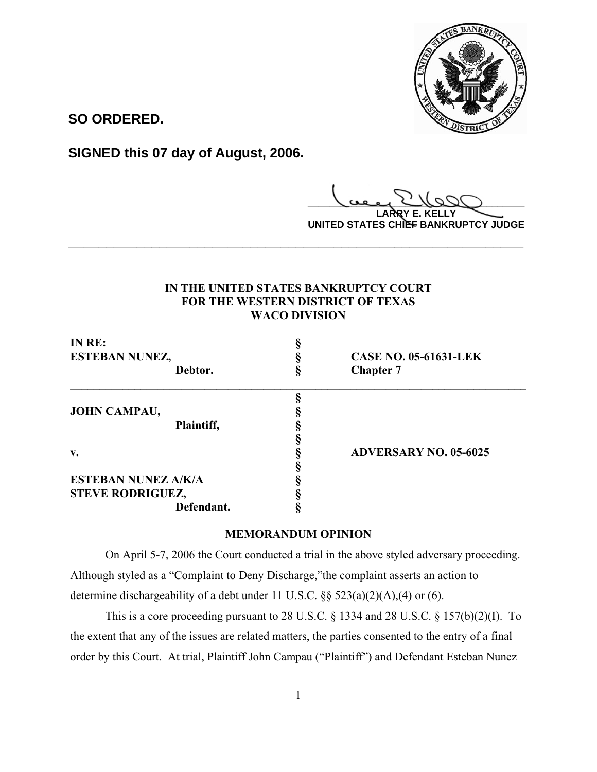

**SO ORDERED.**

**SIGNED this 07 day of August, 2006.**

**\_\_\_\_\_\_\_\_\_\_\_\_\_\_\_\_\_\_\_\_\_\_\_\_\_\_\_\_\_\_\_\_\_\_\_\_\_\_\_\_**

**LARRY E. KELLY UNITED STATES CHIEF BANKRUPTCY JUDGE**

# **IN THE UNITED STATES BANKRUPTCY COURT FOR THE WESTERN DISTRICT OF TEXAS WACO DIVISION**

**\_\_\_\_\_\_\_\_\_\_\_\_\_\_\_\_\_\_\_\_\_\_\_\_\_\_\_\_\_\_\_\_\_\_\_\_\_\_\_\_\_\_\_\_\_\_\_\_\_\_\_\_\_\_\_\_\_\_\_\_**

| IN RE:<br><b>ESTEBAN NUNEZ,</b><br>Debtor. | <b>CASE NO. 05-61631-LEK</b><br><b>Chapter 7</b> |
|--------------------------------------------|--------------------------------------------------|
|                                            |                                                  |
| <b>JOHN CAMPAU,</b>                        |                                                  |
| Plaintiff,                                 |                                                  |
|                                            |                                                  |
| $\mathbf{v}$ .                             | <b>ADVERSARY NO. 05-6025</b>                     |
|                                            |                                                  |
| <b>ESTEBAN NUNEZ A/K/A</b>                 |                                                  |
| <b>STEVE RODRIGUEZ,</b>                    |                                                  |
| Defendant.                                 |                                                  |

# **MEMORANDUM OPINION**

On April 5-7, 2006 the Court conducted a trial in the above styled adversary proceeding. Although styled as a "Complaint to Deny Discharge,"the complaint asserts an action to determine dischargeability of a debt under 11 U.S.C.  $\S$ § 523(a)(2)(A),(4) or (6).

This is a core proceeding pursuant to 28 U.S.C. § 1334 and 28 U.S.C. § 157(b)(2)(I). To the extent that any of the issues are related matters, the parties consented to the entry of a final order by this Court. At trial, Plaintiff John Campau ("Plaintiff") and Defendant Esteban Nunez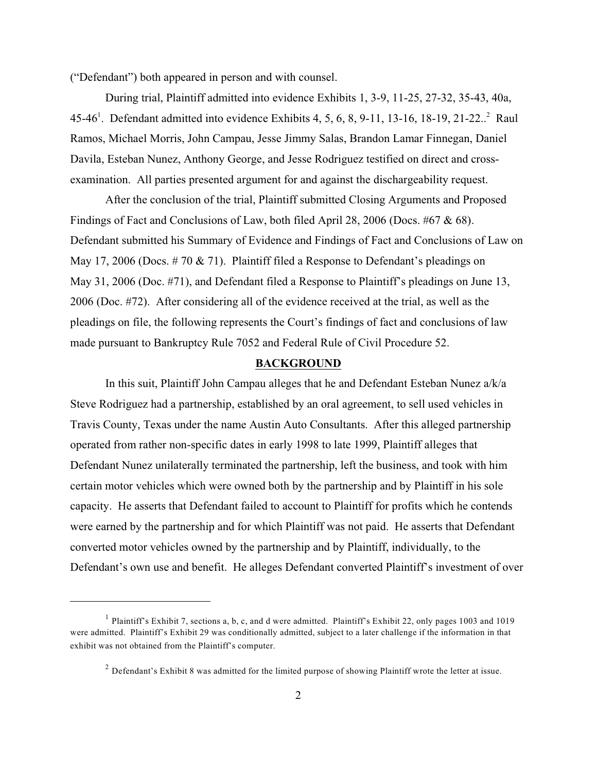("Defendant") both appeared in person and with counsel.

During trial, Plaintiff admitted into evidence Exhibits 1, 3-9, 11-25, 27-32, 35-43, 40a, 45-46<sup>1</sup>. Defendant admitted into evidence Exhibits 4, 5, 6, 8, 9-11, 13-16, 18-19, 21-22.<sup>2</sup> Raul Ramos, Michael Morris, John Campau, Jesse Jimmy Salas, Brandon Lamar Finnegan, Daniel Davila, Esteban Nunez, Anthony George, and Jesse Rodriguez testified on direct and crossexamination. All parties presented argument for and against the dischargeability request.

After the conclusion of the trial, Plaintiff submitted Closing Arguments and Proposed Findings of Fact and Conclusions of Law, both filed April 28, 2006 (Docs. #67 & 68). Defendant submitted his Summary of Evidence and Findings of Fact and Conclusions of Law on May 17, 2006 (Docs. # 70  $\&$  71). Plaintiff filed a Response to Defendant's pleadings on May 31, 2006 (Doc. #71), and Defendant filed a Response to Plaintiff's pleadings on June 13, 2006 (Doc. #72). After considering all of the evidence received at the trial, as well as the pleadings on file, the following represents the Court's findings of fact and conclusions of law made pursuant to Bankruptcy Rule 7052 and Federal Rule of Civil Procedure 52.

#### **BACKGROUND**

In this suit, Plaintiff John Campau alleges that he and Defendant Esteban Nunez a/k/a Steve Rodriguez had a partnership, established by an oral agreement, to sell used vehicles in Travis County, Texas under the name Austin Auto Consultants. After this alleged partnership operated from rather non-specific dates in early 1998 to late 1999, Plaintiff alleges that Defendant Nunez unilaterally terminated the partnership, left the business, and took with him certain motor vehicles which were owned both by the partnership and by Plaintiff in his sole capacity. He asserts that Defendant failed to account to Plaintiff for profits which he contends were earned by the partnership and for which Plaintiff was not paid. He asserts that Defendant converted motor vehicles owned by the partnership and by Plaintiff, individually, to the Defendant's own use and benefit. He alleges Defendant converted Plaintiff's investment of over

<sup>&</sup>lt;sup>1</sup> Plaintiff's Exhibit 7, sections a, b, c, and d were admitted. Plaintiff's Exhibit 22, only pages 1003 and 1019 were admitted. Plaintiff's Exhibit 29 was conditionally admitted, subject to a later challenge if the information in that exhibit was not obtained from the Plaintiff's computer.

 $2$  Defendant's Exhibit 8 was admitted for the limited purpose of showing Plaintiff wrote the letter at issue.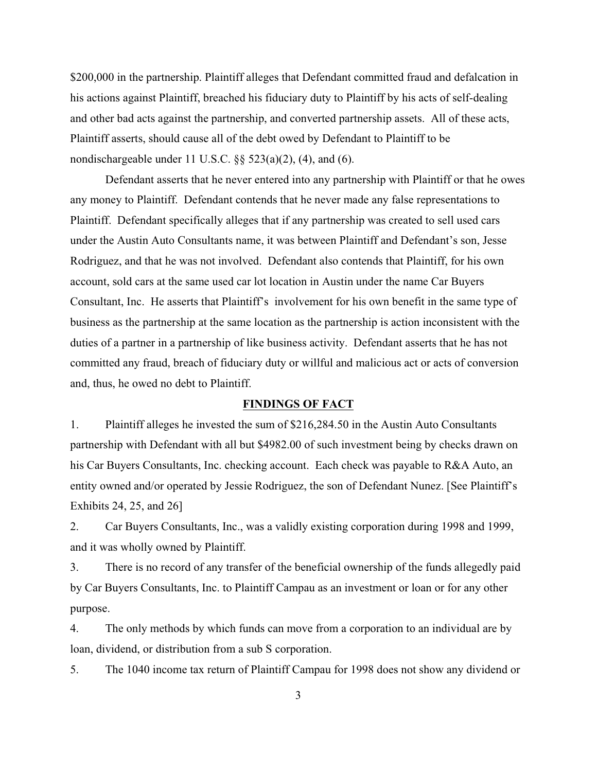\$200,000 in the partnership. Plaintiff alleges that Defendant committed fraud and defalcation in his actions against Plaintiff, breached his fiduciary duty to Plaintiff by his acts of self-dealing and other bad acts against the partnership, and converted partnership assets. All of these acts, Plaintiff asserts, should cause all of the debt owed by Defendant to Plaintiff to be nondischargeable under 11 U.S.C. §§ 523(a)(2), (4), and (6).

Defendant asserts that he never entered into any partnership with Plaintiff or that he owes any money to Plaintiff. Defendant contends that he never made any false representations to Plaintiff. Defendant specifically alleges that if any partnership was created to sell used cars under the Austin Auto Consultants name, it was between Plaintiff and Defendant's son, Jesse Rodriguez, and that he was not involved. Defendant also contends that Plaintiff, for his own account, sold cars at the same used car lot location in Austin under the name Car Buyers Consultant, Inc. He asserts that Plaintiff's involvement for his own benefit in the same type of business as the partnership at the same location as the partnership is action inconsistent with the duties of a partner in a partnership of like business activity. Defendant asserts that he has not committed any fraud, breach of fiduciary duty or willful and malicious act or acts of conversion and, thus, he owed no debt to Plaintiff.

### **FINDINGS OF FACT**

1. Plaintiff alleges he invested the sum of \$216,284.50 in the Austin Auto Consultants partnership with Defendant with all but \$4982.00 of such investment being by checks drawn on his Car Buyers Consultants, Inc. checking account. Each check was payable to R&A Auto, an entity owned and/or operated by Jessie Rodriguez, the son of Defendant Nunez. [See Plaintiff's Exhibits 24, 25, and 26]

2. Car Buyers Consultants, Inc., was a validly existing corporation during 1998 and 1999, and it was wholly owned by Plaintiff.

3. There is no record of any transfer of the beneficial ownership of the funds allegedly paid by Car Buyers Consultants, Inc. to Plaintiff Campau as an investment or loan or for any other purpose.

4. The only methods by which funds can move from a corporation to an individual are by loan, dividend, or distribution from a sub S corporation.

5. The 1040 income tax return of Plaintiff Campau for 1998 does not show any dividend or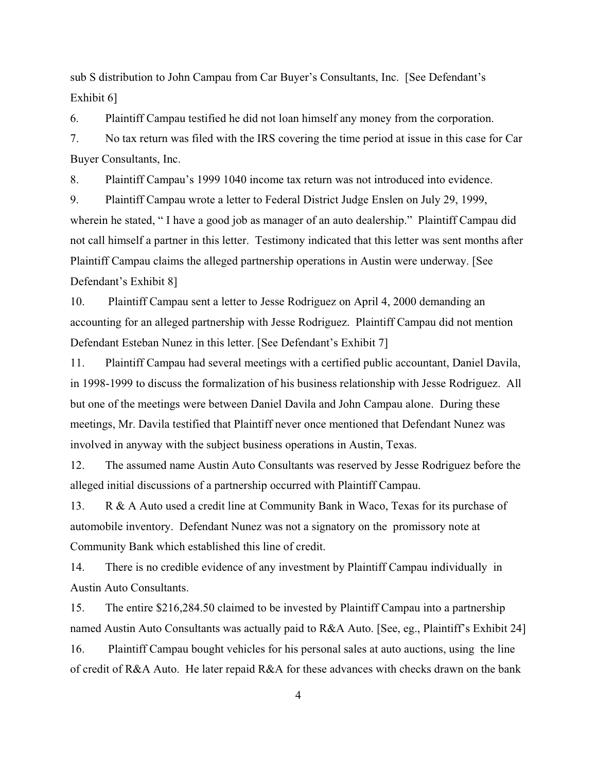sub S distribution to John Campau from Car Buyer's Consultants, Inc. [See Defendant's Exhibit 6]

6. Plaintiff Campau testified he did not loan himself any money from the corporation.

7. No tax return was filed with the IRS covering the time period at issue in this case for Car Buyer Consultants, Inc.

8. Plaintiff Campau's 1999 1040 income tax return was not introduced into evidence.

9. Plaintiff Campau wrote a letter to Federal District Judge Enslen on July 29, 1999, wherein he stated, " I have a good job as manager of an auto dealership." Plaintiff Campau did not call himself a partner in this letter. Testimony indicated that this letter was sent months after Plaintiff Campau claims the alleged partnership operations in Austin were underway. [See Defendant's Exhibit 8]

10. Plaintiff Campau sent a letter to Jesse Rodriguez on April 4, 2000 demanding an accounting for an alleged partnership with Jesse Rodriguez. Plaintiff Campau did not mention Defendant Esteban Nunez in this letter. [See Defendant's Exhibit 7]

11. Plaintiff Campau had several meetings with a certified public accountant, Daniel Davila, in 1998-1999 to discuss the formalization of his business relationship with Jesse Rodriguez. All but one of the meetings were between Daniel Davila and John Campau alone. During these meetings, Mr. Davila testified that Plaintiff never once mentioned that Defendant Nunez was involved in anyway with the subject business operations in Austin, Texas.

12. The assumed name Austin Auto Consultants was reserved by Jesse Rodriguez before the alleged initial discussions of a partnership occurred with Plaintiff Campau.

13. R & A Auto used a credit line at Community Bank in Waco, Texas for its purchase of automobile inventory. Defendant Nunez was not a signatory on the promissory note at Community Bank which established this line of credit.

14. There is no credible evidence of any investment by Plaintiff Campau individually in Austin Auto Consultants.

15. The entire \$216,284.50 claimed to be invested by Plaintiff Campau into a partnership named Austin Auto Consultants was actually paid to R&A Auto. [See, eg., Plaintiff's Exhibit 24]

16. Plaintiff Campau bought vehicles for his personal sales at auto auctions, using the line of credit of R&A Auto. He later repaid R&A for these advances with checks drawn on the bank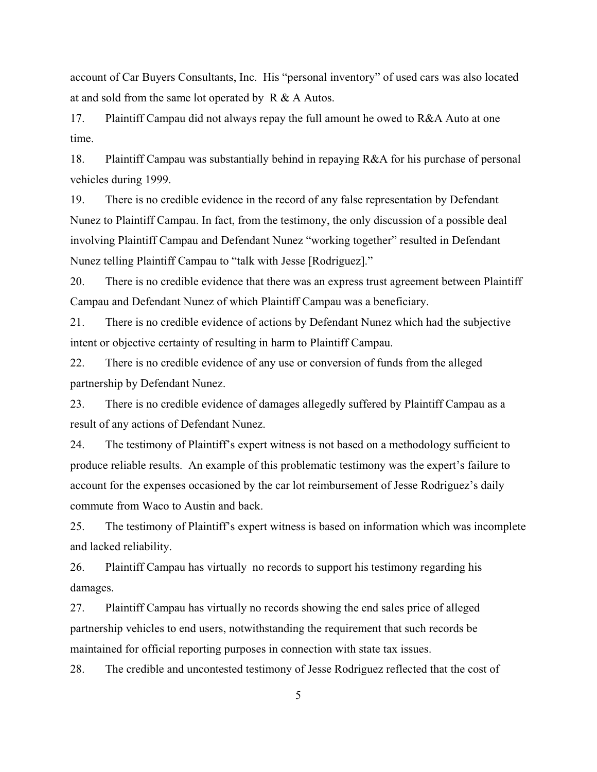account of Car Buyers Consultants, Inc. His "personal inventory" of used cars was also located at and sold from the same lot operated by R & A Autos.

17. Plaintiff Campau did not always repay the full amount he owed to R&A Auto at one time.

18. Plaintiff Campau was substantially behind in repaying R&A for his purchase of personal vehicles during 1999.

19. There is no credible evidence in the record of any false representation by Defendant Nunez to Plaintiff Campau. In fact, from the testimony, the only discussion of a possible deal involving Plaintiff Campau and Defendant Nunez "working together" resulted in Defendant Nunez telling Plaintiff Campau to "talk with Jesse [Rodriguez]."

20. There is no credible evidence that there was an express trust agreement between Plaintiff Campau and Defendant Nunez of which Plaintiff Campau was a beneficiary.

21. There is no credible evidence of actions by Defendant Nunez which had the subjective intent or objective certainty of resulting in harm to Plaintiff Campau.

22. There is no credible evidence of any use or conversion of funds from the alleged partnership by Defendant Nunez.

23. There is no credible evidence of damages allegedly suffered by Plaintiff Campau as a result of any actions of Defendant Nunez.

24. The testimony of Plaintiff's expert witness is not based on a methodology sufficient to produce reliable results. An example of this problematic testimony was the expert's failure to account for the expenses occasioned by the car lot reimbursement of Jesse Rodriguez's daily commute from Waco to Austin and back.

25. The testimony of Plaintiff's expert witness is based on information which was incomplete and lacked reliability.

26. Plaintiff Campau has virtually no records to support his testimony regarding his damages.

27. Plaintiff Campau has virtually no records showing the end sales price of alleged partnership vehicles to end users, notwithstanding the requirement that such records be maintained for official reporting purposes in connection with state tax issues.

28. The credible and uncontested testimony of Jesse Rodriguez reflected that the cost of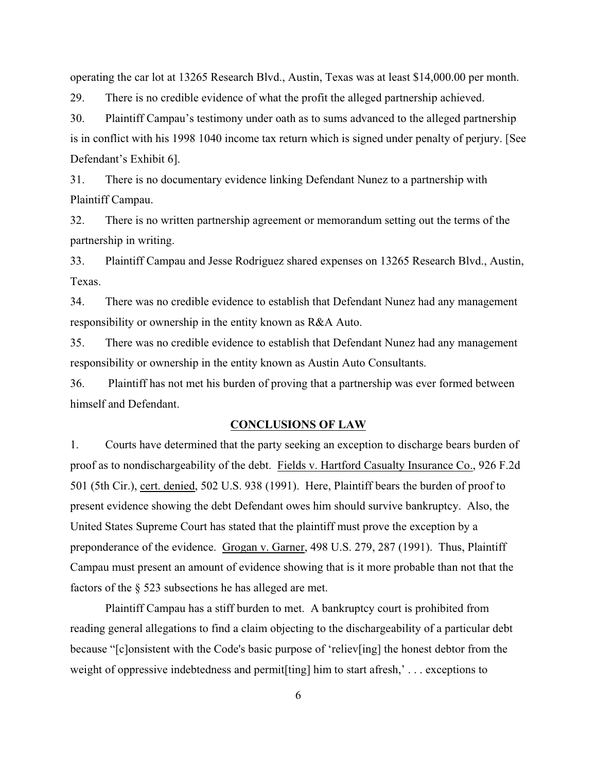operating the car lot at 13265 Research Blvd., Austin, Texas was at least \$14,000.00 per month.

29. There is no credible evidence of what the profit the alleged partnership achieved.

30. Plaintiff Campau's testimony under oath as to sums advanced to the alleged partnership is in conflict with his 1998 1040 income tax return which is signed under penalty of perjury. [See Defendant's Exhibit 6].

31. There is no documentary evidence linking Defendant Nunez to a partnership with Plaintiff Campau.

32. There is no written partnership agreement or memorandum setting out the terms of the partnership in writing.

33. Plaintiff Campau and Jesse Rodriguez shared expenses on 13265 Research Blvd., Austin, Texas.

34. There was no credible evidence to establish that Defendant Nunez had any management responsibility or ownership in the entity known as R&A Auto.

35. There was no credible evidence to establish that Defendant Nunez had any management responsibility or ownership in the entity known as Austin Auto Consultants.

36. Plaintiff has not met his burden of proving that a partnership was ever formed between himself and Defendant.

### **CONCLUSIONS OF LAW**

1. Courts have determined that the party seeking an exception to discharge bears burden of proof as to nondischargeability of the debt. Fields v. Hartford Casualty Insurance Co., 926 F.2d 501 (5th Cir.), cert. denied, 502 U.S. 938 (1991). Here, Plaintiff bears the burden of proof to present evidence showing the debt Defendant owes him should survive bankruptcy. Also, the United States Supreme Court has stated that the plaintiff must prove the exception by a preponderance of the evidence. Grogan v. Garner, 498 U.S. 279, 287 (1991). Thus, Plaintiff Campau must present an amount of evidence showing that is it more probable than not that the factors of the § 523 subsections he has alleged are met.

Plaintiff Campau has a stiff burden to met. A bankruptcy court is prohibited from reading general allegations to find a claim objecting to the dischargeability of a particular debt because "[c]onsistent with the Code's basic purpose of 'reliev[ing] the honest debtor from the weight of oppressive indebtedness and permit [ting] him to start afresh,'... exceptions to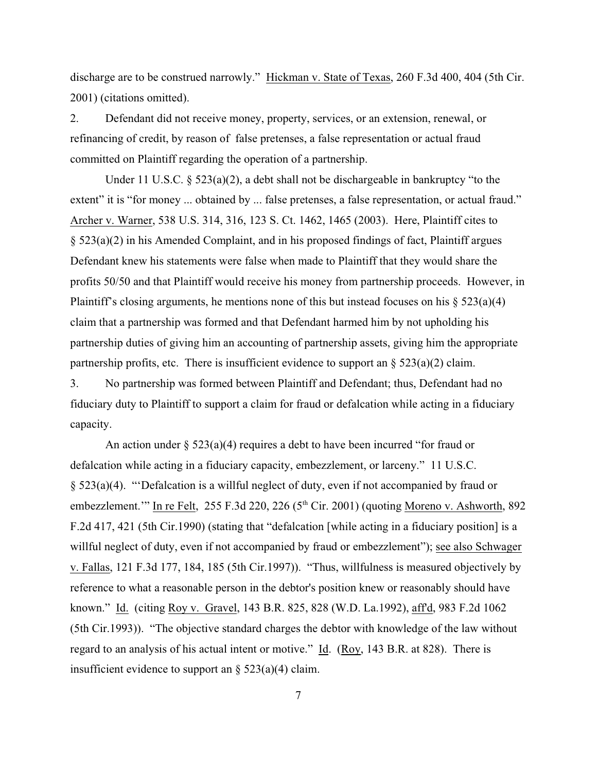discharge are to be construed narrowly." Hickman v. State of Texas, 260 F.3d 400, 404 (5th Cir. 2001) (citations omitted).

2. Defendant did not receive money, property, services, or an extension, renewal, or refinancing of credit, by reason of false pretenses, a false representation or actual fraud committed on Plaintiff regarding the operation of a partnership.

Under 11 U.S.C.  $\S 523(a)(2)$ , a debt shall not be dischargeable in bankruptcy "to the extent" it is "for money ... obtained by ... false pretenses, a false representation, or actual fraud." Archer v. Warner, 538 U.S. 314, 316, 123 S. Ct. 1462, 1465 (2003). Here, Plaintiff cites to § 523(a)(2) in his Amended Complaint, and in his proposed findings of fact, Plaintiff argues Defendant knew his statements were false when made to Plaintiff that they would share the profits 50/50 and that Plaintiff would receive his money from partnership proceeds. However, in Plaintiff's closing arguments, he mentions none of this but instead focuses on his  $\S 523(a)(4)$ claim that a partnership was formed and that Defendant harmed him by not upholding his partnership duties of giving him an accounting of partnership assets, giving him the appropriate partnership profits, etc. There is insufficient evidence to support an  $\S 523(a)(2)$  claim.

3. No partnership was formed between Plaintiff and Defendant; thus, Defendant had no fiduciary duty to Plaintiff to support a claim for fraud or defalcation while acting in a fiduciary capacity.

An action under  $\S$  523(a)(4) requires a debt to have been incurred "for fraud or defalcation while acting in a fiduciary capacity, embezzlement, or larceny." 11 U.S.C. § 523(a)(4). "'Defalcation is a willful neglect of duty, even if not accompanied by fraud or embezzlement." In re Felt, 255 F.3d 220, 226 ( $5<sup>th</sup>$  Cir. 2001) (quoting Moreno v. Ashworth, 892 F.2d 417, 421 (5th Cir.1990) (stating that "defalcation [while acting in a fiduciary position] is a willful neglect of duty, even if not accompanied by fraud or embezzlement"); see also Schwager v. Fallas, 121 F.3d 177, 184, 185 (5th Cir.1997)). "Thus, willfulness is measured objectively by reference to what a reasonable person in the debtor's position knew or reasonably should have known." Id. (citing Roy v. Gravel, 143 B.R. 825, 828 (W.D. La.1992), aff'd, 983 F.2d 1062 (5th Cir.1993)). "The objective standard charges the debtor with knowledge of the law without regard to an analysis of his actual intent or motive." Id. (Roy, 143 B.R. at 828). There is insufficient evidence to support an  $\S$  523(a)(4) claim.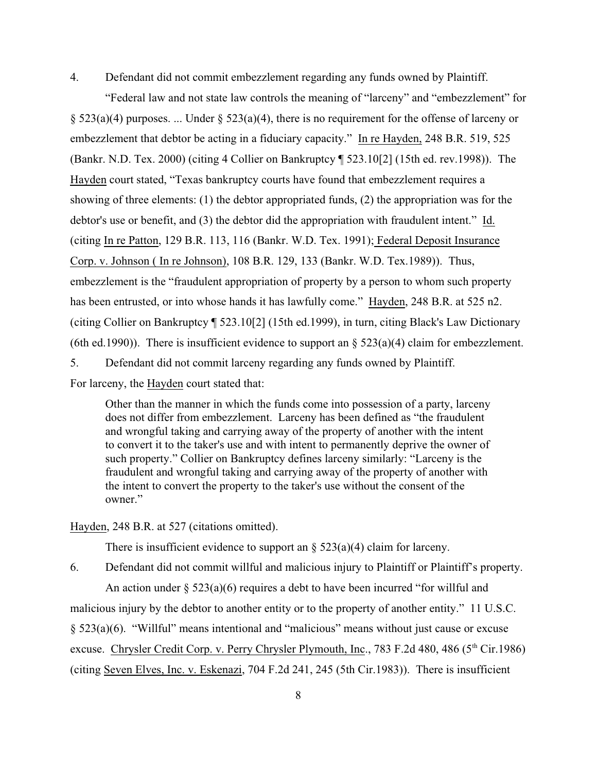4. Defendant did not commit embezzlement regarding any funds owned by Plaintiff.

"Federal law and not state law controls the meaning of "larceny" and "embezzlement" for § 523(a)(4) purposes. ... Under § 523(a)(4), there is no requirement for the offense of larceny or embezzlement that debtor be acting in a fiduciary capacity." In re Hayden, 248 B.R. 519, 525 (Bankr. N.D. Tex. 2000) (citing 4 Collier on Bankruptcy ¶ 523.10[2] (15th ed. rev.1998)). The Hayden court stated, "Texas bankruptcy courts have found that embezzlement requires a showing of three elements: (1) the debtor appropriated funds, (2) the appropriation was for the debtor's use or benefit, and (3) the debtor did the appropriation with fraudulent intent." Id. (citing In re Patton, 129 B.R. 113, 116 (Bankr. W.D. Tex. 1991); Federal Deposit Insurance Corp. v. Johnson ( In re Johnson), 108 B.R. 129, 133 (Bankr. W.D. Tex.1989)). Thus, embezzlement is the "fraudulent appropriation of property by a person to whom such property has been entrusted, or into whose hands it has lawfully come." Hayden, 248 B.R. at 525 n2. (citing Collier on Bankruptcy ¶ 523.10[2] (15th ed.1999), in turn, citing Black's Law Dictionary (6th ed.1990)). There is insufficient evidence to support an  $\S$  523(a)(4) claim for embezzlement. 5. Defendant did not commit larceny regarding any funds owned by Plaintiff.

For larceny, the Hayden court stated that:

Other than the manner in which the funds come into possession of a party, larceny does not differ from embezzlement. Larceny has been defined as "the fraudulent and wrongful taking and carrying away of the property of another with the intent to convert it to the taker's use and with intent to permanently deprive the owner of such property." Collier on Bankruptcy defines larceny similarly: "Larceny is the fraudulent and wrongful taking and carrying away of the property of another with the intent to convert the property to the taker's use without the consent of the owner."

Hayden, 248 B.R. at 527 (citations omitted).

There is insufficient evidence to support an  $\S$  523(a)(4) claim for larceny.

6. Defendant did not commit willful and malicious injury to Plaintiff or Plaintiff's property. An action under  $\S$  523(a)(6) requires a debt to have been incurred "for will ful and malicious injury by the debtor to another entity or to the property of another entity." 11 U.S.C. § 523(a)(6). "Willful" means intentional and "malicious" means without just cause or excuse excuse. Chrysler Credit Corp. v. Perry Chrysler Plymouth, Inc., 783 F.2d 480, 486 (5<sup>th</sup> Cir.1986) (citing Seven Elves, Inc. v. Eskenazi, 704 F.2d 241, 245 (5th Cir.1983)). There is insufficient